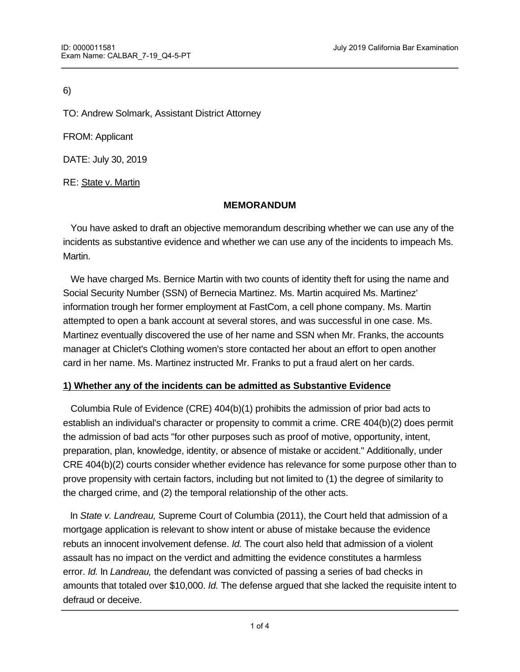6)

TO: Andrew Solmark, Assistant District Attorney

FROM: Applicant

DATE: July 30, 2019

RE: State v. Martin

### **MEMORANDUM**

You have asked to draft an objective memorandum describing whether we can use any of the incidents as substantive evidence and whether we can use any of the incidents to impeach Ms. Martin.

 We have charged Ms. Bernice Martin with two counts of identity theft for using the name and Social Security Number (SSN) of Bernecia Martinez. Ms. Martin acquired Ms. Martinez' information trough her former employment at FastCom, a cell phone company. Ms. Martin attempted to open a bank account at several stores, and was successful in one case. Ms. Martinez eventually discovered the use of her name and SSN when Mr. Franks, the accounts manager at Chiclet's Clothing women's store contacted her about an effort to open another card in her name. Ms. Martinez instructed Mr. Franks to put a fraud alert on her cards.

# **1) Whether any of the incidents can be admitted as Substantive Evidence**

 Columbia Rule of Evidence (CRE) 404(b)(1) prohibits the admission of prior bad acts to establish an individual's character or propensity to commit a crime. CRE 404(b)(2) does permit the admission of bad acts "for other purposes such as proof of motive, opportunity, intent, preparation, plan, knowledge, identity, or absence of mistake or accident." Additionally, under CRE 404(b)(2) courts consider whether evidence has relevance for some purpose other than to prove propensity with certain factors, including but not limited to (1) the degree of similarity to the charged crime, and (2) the temporal relationship of the other acts.

 In *State v. Landreau,* Supreme Court of Columbia (2011), the Court held that admission of a mortgage application is relevant to show intent or abuse of mistake because the evidence rebuts an innocent involvement defense. *Id.* The court also held that admission of a violent assault has no impact on the verdict and admitting the evidence constitutes a harmless error. *Id.* In *Landreau,* the defendant was convicted of passing a series of bad checks in amounts that totaled over \$10,000. *Id.* The defense argued that she lacked the requisite intent to defraud or deceive.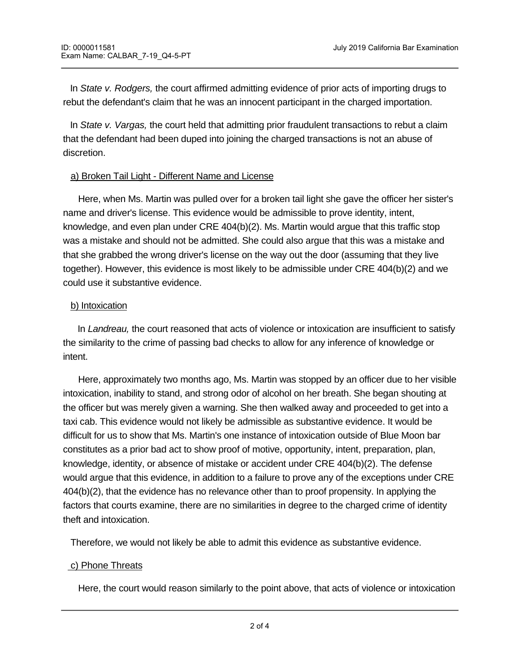In *State v. Rodgers,* the court affirmed admitting evidence of prior acts of importing drugs to rebut the defendant's claim that he was an innocent participant in the charged importation.

 In *State v. Vargas,* the court held that admitting prior fraudulent transactions to rebut a claim that the defendant had been duped into joining the charged transactions is not an abuse of discretion.

### a) Broken Tail Light - Different Name and License

 Here, when Ms. Martin was pulled over for a broken tail light she gave the officer her sister's name and driver's license. This evidence would be admissible to prove identity, intent, knowledge, and even plan under CRE 404(b)(2). Ms. Martin would argue that this traffic stop was a mistake and should not be admitted. She could also argue that this was a mistake and that she grabbed the wrong driver's license on the way out the door (assuming that they live together). However, this evidence is most likely to be admissible under CRE 404(b)(2) and we could use it substantive evidence.

### b) Intoxication

 In *Landreau,* the court reasoned that acts of violence or intoxication are insufficient to satisfy the similarity to the crime of passing bad checks to allow for any inference of knowledge or intent.

 Here, approximately two months ago, Ms. Martin was stopped by an officer due to her visible intoxication, inability to stand, and strong odor of alcohol on her breath. She began shouting at the officer but was merely given a warning. She then walked away and proceeded to get into a taxi cab. This evidence would not likely be admissible as substantive evidence. It would be difficult for us to show that Ms. Martin's one instance of intoxication outside of Blue Moon bar constitutes as a prior bad act to show proof of motive, opportunity, intent, preparation, plan, knowledge, identity, or absence of mistake or accident under CRE 404(b)(2). The defense would argue that this evidence, in addition to a failure to prove any of the exceptions under CRE 404(b)(2), that the evidence has no relevance other than to proof propensity. In applying the factors that courts examine, there are no similarities in degree to the charged crime of identity theft and intoxication.

Therefore, we would not likely be able to admit this evidence as substantive evidence.

# c) Phone Threats

Here, the court would reason similarly to the point above, that acts of violence or intoxication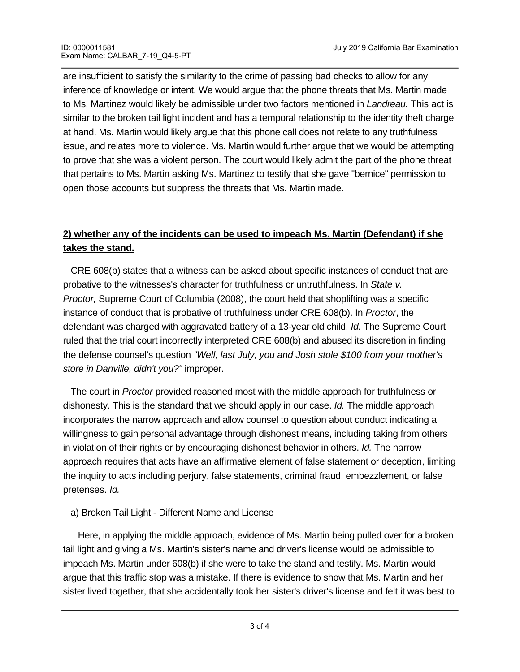are insufficient to satisfy the similarity to the crime of passing bad checks to allow for any inference of knowledge or intent. We would argue that the phone threats that Ms. Martin made to Ms. Martinez would likely be admissible under two factors mentioned in *Landreau.* This act is similar to the broken tail light incident and has a temporal relationship to the identity theft charge at hand. Ms. Martin would likely argue that this phone call does not relate to any truthfulness issue, and relates more to violence. Ms. Martin would further argue that we would be attempting to prove that she was a violent person. The court would likely admit the part of the phone threat that pertains to Ms. Martin asking Ms. Martinez to testify that she gave "bernice" permission to open those accounts but suppress the threats that Ms. Martin made.

# **2) whether any of the incidents can be used to impeach Ms. Martin (Defendant) if she takes the stand.**

 CRE 608(b) states that a witness can be asked about specific instances of conduct that are probative to the witnesses's character for truthfulness or untruthfulness. In *State v. Proctor,* Supreme Court of Columbia (2008), the court held that shoplifting was a specific instance of conduct that is probative of truthfulness under CRE 608(b). In *Proctor*, the defendant was charged with aggravated battery of a 13-year old child. *Id.* The Supreme Court ruled that the trial court incorrectly interpreted CRE 608(b) and abused its discretion in finding the defense counsel's question *"Well, last July, you and Josh stole \$100 from your mother's store in Danville, didn't you?"* improper.

 The court in *Proctor* provided reasoned most with the middle approach for truthfulness or dishonesty. This is the standard that we should apply in our case. *Id.* The middle approach incorporates the narrow approach and allow counsel to question about conduct indicating a willingness to gain personal advantage through dishonest means, including taking from others in violation of their rights or by encouraging dishonest behavior in others. *Id.* The narrow approach requires that acts have an affirmative element of false statement or deception, limiting the inquiry to acts including perjury, false statements, criminal fraud, embezzlement, or false pretenses. *Id.* 

# a) Broken Tail Light - Different Name and License

 Here, in applying the middle approach, evidence of Ms. Martin being pulled over for a broken tail light and giving a Ms. Martin's sister's name and driver's license would be admissible to impeach Ms. Martin under 608(b) if she were to take the stand and testify. Ms. Martin would argue that this traffic stop was a mistake. If there is evidence to show that Ms. Martin and her sister lived together, that she accidentally took her sister's driver's license and felt it was best to

give her sister then then then then then then then the evidence, however it is more likely that the evidence,